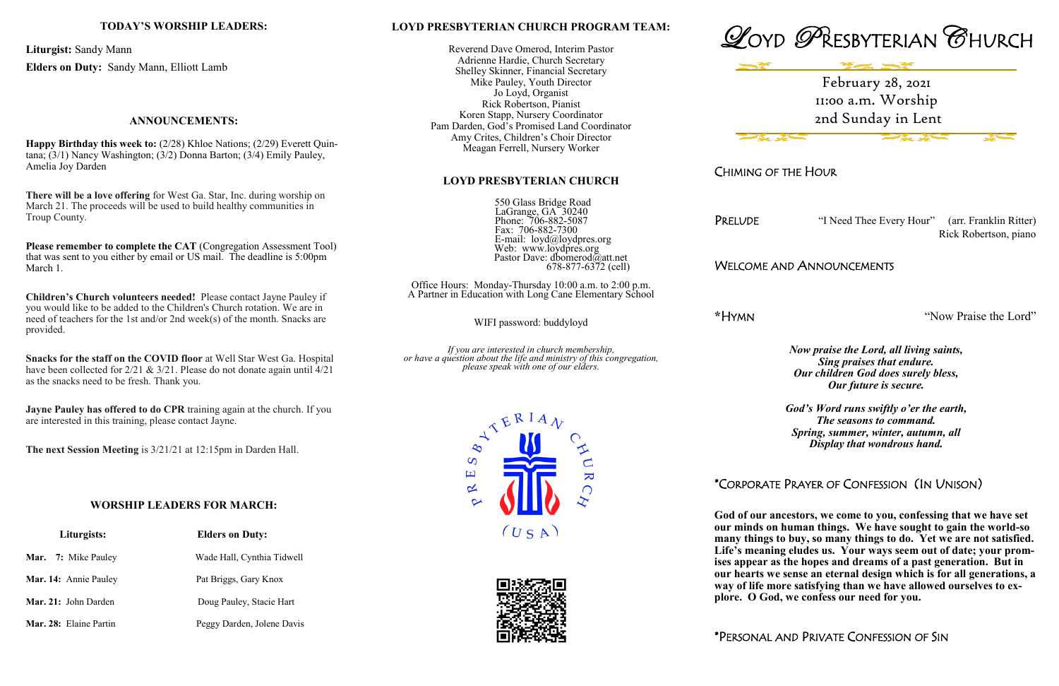#### **LOYD PRESBYTERIAN CHURCH PROGRAM TEAM:**

Reverend Dave Omerod, Interim Pastor Adrienne Hardie, Church Secretary Shelley Skinner, Financial Secretary Mike Pauley, Youth Director Jo Loyd, Organist Rick Robertson, Pianist Koren Stapp, Nursery Coordinator Pam Darden, God's Promised Land Coordinator Amy Crites, Children's Choir Director Meagan Ferrell, Nursery Worker

### **LOYD PRESBYTERIAN CHURCH**

 550 Glass Bridge Road LaGrange, GA 30240 Phone: 706-882-5087 Fax: 706-882-7300 E-mail: loyd@loydpres.org Web: www.loydpres.org Pastor Dave: dbomerod@att.net 678-877-6372 (cell)

PRELUDE "I Need Thee Every Hour" (arr. Franklin Ritter) Rick Robertson, piano

Office Hours: Monday-Thursday 10:00 a.m. to 2:00 p.m. A Partner in Education with Long Cane Elementary School

WIFI password: buddyloyd

*If you are interested in church membership, or have a question about the life and ministry of this congregation, please speak with one of our elders.*







CHIMING OF THE HOUR

## WELCOME AND ANNOUNCEMENTS

**\***HYMN "Now Praise the Lord"

*Now praise the Lord, all living saints, Sing praises that endure. Our children God does surely bless, Our future is secure.*

**Please remember to complete the CAT (Congregation Assessment Tool)** that was sent to you either by email or US mail. The deadline is 5:00pm March 1.

> *God's Word runs swiftly o'er the earth, The seasons to command. Spring, summer, winter, autumn, all Display that wondrous hand.*

# \*CORPORATE PRAYER OF CONFESSION (IN UNISON)

**God of our ancestors, we come to you, confessing that we have set our minds on human things. We have sought to gain the world-so many things to buy, so many things to do. Yet we are not satisfied. Life's meaning eludes us. Your ways seem out of date; your promises appear as the hopes and dreams of a past generation. But in our hearts we sense an eternal design which is for all generations, a way of life more satisfying than we have allowed ourselves to explore. O God, we confess our need for you.**

\*PERSONAL AND PRIVATE CONFESSION OF SIN

#### **TODAY'S WORSHIP LEADERS:**

**Liturgist:** Sandy Mann

**Elders on Duty:** Sandy Mann, Elliott Lamb

#### **ANNOUNCEMENTS:**

**Happy Birthday this week to:** (2/28) Khloe Nations; (2/29) Everett Quintana; (3/1) Nancy Washington; (3/2) Donna Barton; (3/4) Emily Pauley, Amelia Joy Darden

**There will be a love offering** for West Ga. Star, Inc. during worship on March 21. The proceeds will be used to build healthy communities in Troup County.

**Children's Church volunteers needed!** Please contact Jayne Pauley if you would like to be added to the Children's Church rotation. We are in need of teachers for the 1st and/or 2nd week(s) of the month. Snacks are provided.

**Snacks for the staff on the COVID floor** at Well Star West Ga. Hospital have been collected for  $2/21 \& 3/21$ . Please do not donate again until  $4/21$ as the snacks need to be fresh. Thank you.

**Jayne Pauley has offered to do CPR** training again at the church. If you are interested in this training, please contact Jayne.

**The next Session Meeting** is 3/21/21 at 12:15pm in Darden Hall.

## **WORSHIP LEADERS FOR MARCH:**

| Liturgists:                | <b>Elders on Duty:</b>     |
|----------------------------|----------------------------|
| <b>Mar.</b> 7: Mike Pauley | Wade Hall, Cynthia Tidwell |
| Mar. 14: Annie Pauley      | Pat Briggs, Gary Knox      |
| Mar. 21: John Darden       | Doug Pauley, Stacie Hart   |
| Mar. 28: Elaine Partin     | Peggy Darden, Jolene Davis |

February 28, 2021 11:00 a.m. Worship 2nd Sunday in Lent